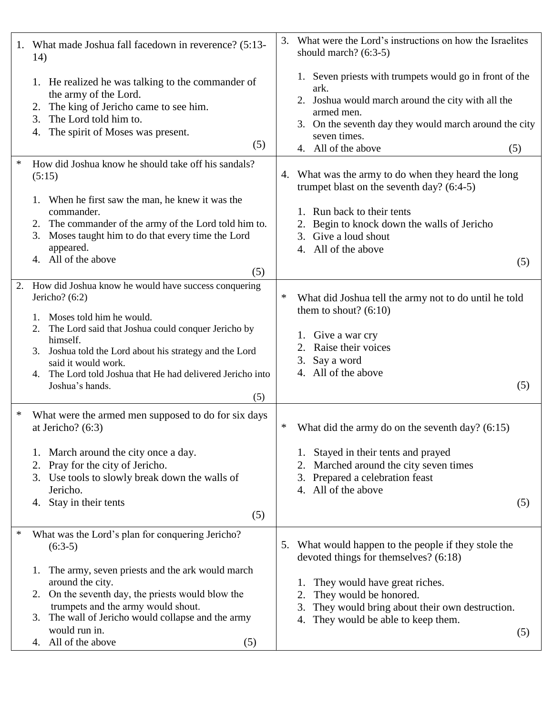|        | 1. What made Joshua fall facedown in reverence? (5:13-<br>14)                                                                                                                                                                                                                                                                                             | 3.                   | What were the Lord's instructions on how the Israelites<br>should march? $(6:3-5)$                                                                                                                                                                   |
|--------|-----------------------------------------------------------------------------------------------------------------------------------------------------------------------------------------------------------------------------------------------------------------------------------------------------------------------------------------------------------|----------------------|------------------------------------------------------------------------------------------------------------------------------------------------------------------------------------------------------------------------------------------------------|
|        | 1. He realized he was talking to the commander of<br>the army of the Lord.<br>The king of Jericho came to see him.<br>2.<br>The Lord told him to.<br>3.<br>The spirit of Moses was present.<br>4.<br>(5)                                                                                                                                                  |                      | 1. Seven priests with trumpets would go in front of the<br>ark.<br>2. Joshua would march around the city with all the<br>armed men.<br>3. On the seventh day they would march around the city<br>seven times.<br>4. All of the above<br>(5)          |
| $\ast$ | How did Joshua know he should take off his sandals?<br>(5:15)<br>1. When he first saw the man, he knew it was the<br>commander.<br>The commander of the army of the Lord told him to.<br>Moses taught him to do that every time the Lord<br>3.<br>appeared.<br>4. All of the above<br>(5)                                                                 | 4.<br>3.<br>4.       | What was the army to do when they heard the long<br>trumpet blast on the seventh day? $(6:4-5)$<br>1. Run back to their tents<br>Begin to knock down the walls of Jericho<br>Give a loud shout<br>All of the above<br>(5)                            |
| 2.     | How did Joshua know he would have success conquering<br>Jericho? $(6:2)$<br>Moses told him he would.<br>The Lord said that Joshua could conquer Jericho by<br>2.<br>himself.<br>Joshua told the Lord about his strategy and the Lord<br>3.<br>said it would work.<br>4. The Lord told Joshua that He had delivered Jericho into<br>Joshua's hands.<br>(5) | ∗<br>2.<br>3.        | What did Joshua tell the army not to do until he told<br>them to shout? $(6:10)$<br>1. Give a war cry<br>Raise their voices<br>Say a word<br>4. All of the above<br>(5)                                                                              |
| $\ast$ | What were the armed men supposed to do for six days<br>at Jericho? $(6:3)$<br>1. March around the city once a day.<br>Pray for the city of Jericho.<br>2.<br>3. Use tools to slowly break down the walls of<br>Jericho.<br>Stay in their tents<br>4.<br>(5)                                                                                               | ∗<br>2.<br>3.        | What did the army do on the seventh day? $(6:15)$<br>Stayed in their tents and prayed<br>Marched around the city seven times<br>Prepared a celebration feast<br>4. All of the above<br>(5)                                                           |
| $\ast$ | What was the Lord's plan for conquering Jericho?<br>$(6:3-5)$<br>1. The army, seven priests and the ark would march<br>around the city.<br>2. On the seventh day, the priests would blow the<br>trumpets and the army would shout.<br>3. The wall of Jericho would collapse and the army<br>would run in.<br>4. All of the above<br>(5)                   | 1.<br>2.<br>3.<br>4. | 5. What would happen to the people if they stole the<br>devoted things for themselves? (6:18)<br>They would have great riches.<br>They would be honored.<br>They would bring about their own destruction.<br>They would be able to keep them.<br>(5) |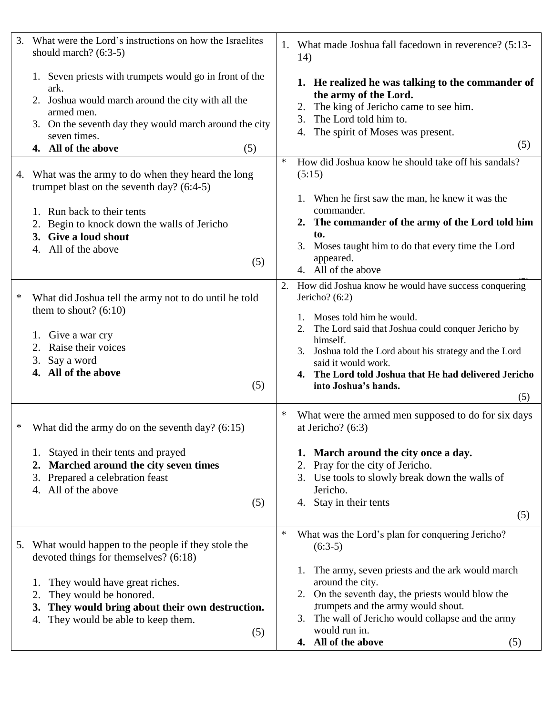| 3. | What were the Lord's instructions on how the Israelites<br>should march? $(6:3-5)$                                                                                                                                                                                           | 1. What made Joshua fall facedown in reverence? (5:13-<br>14)                                                                                                                                                                                                                                                                                             |
|----|------------------------------------------------------------------------------------------------------------------------------------------------------------------------------------------------------------------------------------------------------------------------------|-----------------------------------------------------------------------------------------------------------------------------------------------------------------------------------------------------------------------------------------------------------------------------------------------------------------------------------------------------------|
|    | 1. Seven priests with trumpets would go in front of the<br>ark.<br>2. Joshua would march around the city with all the<br>armed men.<br>3. On the seventh day they would march around the city<br>seven times.<br>4. All of the above<br>(5)                                  | 1. He realized he was talking to the commander of<br>the army of the Lord.<br>The king of Jericho came to see him.<br>2.<br>The Lord told him to.<br>3.<br>4. The spirit of Moses was present.<br>(5)                                                                                                                                                     |
| 4. | What was the army to do when they heard the long<br>trumpet blast on the seventh day? $(6:4-5)$<br>1. Run back to their tents<br>Begin to knock down the walls of Jericho<br>3. Give a loud shout<br>4. All of the above<br>(5)                                              | How did Joshua know he should take off his sandals?<br>$\ast$<br>(5:15)<br>When he first saw the man, he knew it was the<br>commander.<br>2. The commander of the army of the Lord told him<br>to.<br>3. Moses taught him to do that every time the Lord<br>appeared.<br>4. All of the above                                                              |
| ∗  | What did Joshua tell the army not to do until he told<br>them to shout? $(6:10)$<br>1. Give a war cry<br>2. Raise their voices<br>3. Say a word<br>4. All of the above<br>(5)                                                                                                | 2.<br>How did Joshua know he would have success conquering<br>Jericho? $(6:2)$<br>Moses told him he would.<br>The Lord said that Joshua could conquer Jericho by<br>himself.<br>Joshua told the Lord about his strategy and the Lord<br>3.<br>said it would work.<br>4. The Lord told Joshua that He had delivered Jericho<br>into Joshua's hands.<br>(5) |
|    | What did the army do on the seventh day? $(6:15)$<br>Stayed in their tents and prayed<br>Marched around the city seven times<br>2.<br>Prepared a celebration feast<br>3.<br>4. All of the above<br>(5)                                                                       | ∗<br>What were the armed men supposed to do for six days<br>at Jericho? $(6:3)$<br>1. March around the city once a day.<br>Pray for the city of Jericho.<br>2.<br>3. Use tools to slowly break down the walls of<br>Jericho.<br>Stay in their tents<br>4.<br>(5)                                                                                          |
|    | 5. What would happen to the people if they stole the<br>devoted things for themselves? (6:18)<br>They would have great riches.<br>1.<br>They would be honored.<br>2.<br>They would bring about their own destruction.<br>3.<br>They would be able to keep them.<br>4.<br>(5) | $\ast$<br>What was the Lord's plan for conquering Jericho?<br>$(6:3-5)$<br>The army, seven priests and the ark would march<br>1.<br>around the city.<br>2. On the seventh day, the priests would blow the<br>trumpets and the army would shout.<br>The wall of Jericho would collapse and the army<br>3.<br>would run in.<br>4. All of the above<br>(5)   |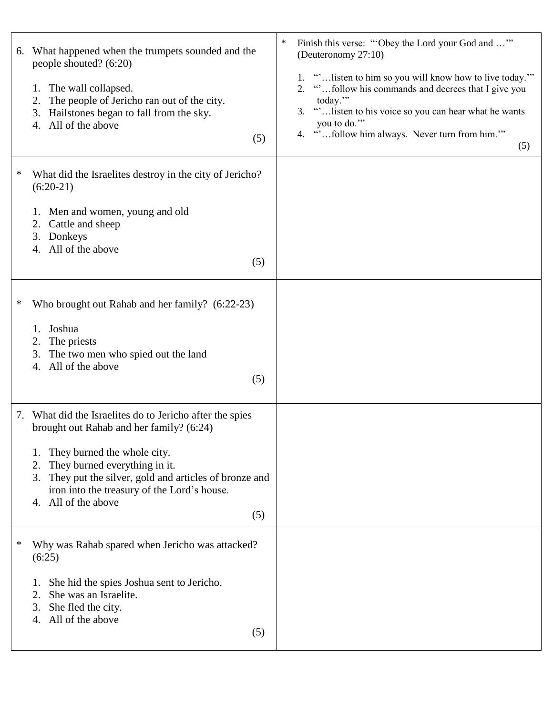| 6. | What happened when the trumpets sounded and the<br>people shouted? (6:20)<br>The wall collapsed.<br>1.<br>The people of Jericho ran out of the city.<br>2.<br>3. Hailstones began to fall from the sky.<br>4. All of the above<br>(5)                                                                              | Finish this verse: "Obey the Lord your God and "<br>∗<br>(Deuteronomy 27:10)<br>1. " listen to him so you will know how to live today."<br>"follow his commands and decrees that I give you<br>2.<br>today."<br>" listen to his voice so you can hear what he wants<br>3.<br>you to do."<br>4. "follow him always. Never turn from him."<br>(5) |
|----|--------------------------------------------------------------------------------------------------------------------------------------------------------------------------------------------------------------------------------------------------------------------------------------------------------------------|-------------------------------------------------------------------------------------------------------------------------------------------------------------------------------------------------------------------------------------------------------------------------------------------------------------------------------------------------|
| ∗  | What did the Israelites destroy in the city of Jericho?<br>$(6:20-21)$<br>1. Men and women, young and old<br>Cattle and sheep<br>2.<br>3. Donkeys<br>4. All of the above<br>(5)                                                                                                                                    |                                                                                                                                                                                                                                                                                                                                                 |
| ∗  | Who brought out Rahab and her family? (6:22-23)<br>1. Joshua<br>The priests<br>2.<br>The two men who spied out the land<br>3.<br>All of the above<br>4.<br>(5)                                                                                                                                                     |                                                                                                                                                                                                                                                                                                                                                 |
|    | 7. What did the Israelites do to Jericho after the spies<br>brought out Rahab and her family? (6:24)<br>They burned the whole city.<br>They burned everything in it.<br>2.<br>3. They put the silver, gold and articles of bronze and<br>iron into the treasury of the Lord's house.<br>4. All of the above<br>(5) |                                                                                                                                                                                                                                                                                                                                                 |
| ∗  | Why was Rahab spared when Jericho was attacked?<br>(6:25)<br>She hid the spies Joshua sent to Jericho.<br>She was an Israelite.<br>2.<br>3. She fled the city.<br>4. All of the above<br>(5)                                                                                                                       |                                                                                                                                                                                                                                                                                                                                                 |